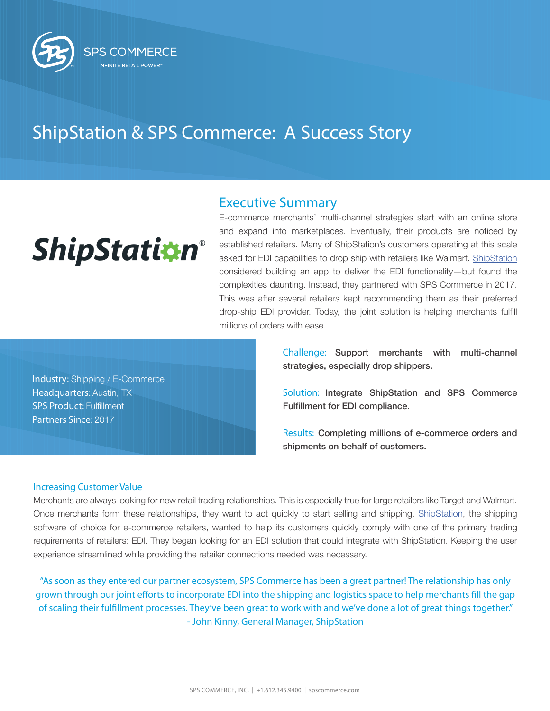

## ShipStation & SPS Commerce: A Success Story

# **ShipStation®**

### Executive Summary

E-commerce merchants' multi-channel strategies start with an online store and expand into marketplaces. Eventually, their products are noticed by established retailers. Many of ShipStation's customers operating at this scale asked for EDI capabilities to drop ship with retailers like Walmart. [ShipStation](https://www.shipstation.com/?utm_campaign=sps-commerce-case-study-q3-2019&utm_source=spscommerce&utm_medium=partner) considered building an app to deliver the EDI functionality—but found the complexities daunting. Instead, they partnered with SPS Commerce in 2017. This was after several retailers kept recommending them as their preferred drop-ship EDI provider. Today, the joint solution is helping merchants fulfill millions of orders with ease.

Industry: Shipping / E-Commerce Headquarters: Austin, TX SPS Product: Fulfillment Partners Since: 2017

Challenge: Support merchants with multi-channel strategies, especially drop shippers.

Solution: Integrate ShipStation and SPS Commerce Fulfillment for EDI compliance.

Results: Completing millions of e-commerce orders and shipments on behalf of customers.

#### Increasing Customer Value

Merchants are always looking for new retail trading relationships. This is especially true for large retailers like Target and Walmart. Once merchants form these relationships, they want to act quickly to start selling and shipping. [ShipStation](https://www.shipstation.com/?utm_campaign=sps-commerce-case-study-q3-2019&utm_source=spscommerce&utm_medium=partner), the shipping software of choice for e-commerce retailers, wanted to help its customers quickly comply with one of the primary trading requirements of retailers: EDI. They began looking for an EDI solution that could integrate with ShipStation. Keeping the user experience streamlined while providing the retailer connections needed was necessary.

"As soon as they entered our partner ecosystem, SPS Commerce has been a great partner! The relationship has only grown through our joint efforts to incorporate EDI into the shipping and logistics space to help merchants fill the gap of scaling their fulfillment processes. They've been great to work with and we've done a lot of great things together." - John Kinny, General Manager, ShipStation